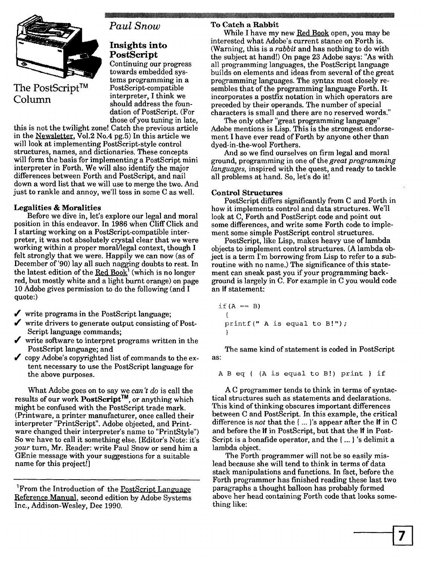

The PostScript<sup>™</sup> Column

# Insights into PostScript

Continuing our progress towards embedded systems programming in a PostScript-compatible interpreter, I think we should address the foundation of PostScript. (For those of you tuning in late,

this is not the twilight zone! Catch the previous article in the Newsletter,  $\bar{V}$ ol.2 No.4 pg.5) In this article we will look at implementing PostScript-style control structures, names, and dictionaries. These concepts will form the basis for implementing a PostScript mini interpreter in Forth. We will also identify the major differences between Forth and PostScript, and nail down a word list that we will use to merge the two. And just to rankle and annoy, we'll toss in some C as well.

## Legalities & Moralities

Before we dive in, let's explore our legal and moral position in this endeavor. In 1986 when Cliff Click and I starting working on a PostScript-compatible interpreter, it was not absolutely crystal clear that we were working within a proper moral/legal context, though I felt strongly that we were. Happily we can now (as of December of '90) lay all such nagging doubts to rest. In the latest edition of the  $Red$  Book<sup>1</sup> (which is no longer red, but mostly white and a light burnt orange) on page 10 Adobe gives permission to do the following (and I quote:)

- $\checkmark$  write programs in the PostScript language;
- write drivers to generate output consisting of Post-Script language commands;
- write software to interpret programs written in the PostScript language; and
- $\checkmark$  copy Adobe's copyrighted list of commands to the extent necessary to use the PostScript language for the above purposes.

What Adobe goes on to say we *can't do* is call the results of our work PostScript™, or anything which might be confused with the PostScript trade mark. (Printware, a printer manufacturer, once called their interpreter "PrintScript". Adobe objected, and Printware changed their interpreter's name to "PrintStyle") So we have to call it something else. [Editor's Note: it's *your* turn, Mr. Reader: write Paul Snow or send him a GEnie message with your suggestions for a suitable name for this project!]

<sup>1</sup>From the Introduction of the PostScript Language Reference Manual, second edition by Adobe Systems Inc., Addison-Wesley, Dec 1990.

## *Paul Snow* To Catch a Rabbit

lliiiiiiliiiiiiiiiiiiliiiiiliiiiiiiiiiiiiiiiiiliiiiiiiiiiiiiiiiiiiiiimmiiiiiiiiiiimliiiiiiiiiiiiiliiiiiimlliiiiiiiiiiiiii!iiiiiiiiiiiiiiiiiiiiiiiiiliiiliiiiiiiiiiiliiiiiiiiiiiiiiiiiiiiiiii!i

While I have my new Red Book open, you may be interested what Adobe's current stance on Forth is. (Warning, this is a *rabbit* and has nothing to do with the subject at hand!) On page 23 Adobe says: "As with all programming languages, the PostScript language builds on elements and ideas from several of the great programming languages. The syntax most closely resembles that of the programming language Forth. It incorporates a postfix notation in which operators are preceded by their operands. The number of special characters is small and there are no reserved words."

The only other "great programming language" Adobe mentions is Lisp. This is the strongest endorsement I have ever read of Forth by anyone other than dyed-in-the-wool Forthers.

And so we find ourselves on firm legal and moral ground, programming in one of the *great programming languages,* inspired with the quest, and ready to tackle all problems at hand. So, let's do it!

### Control Structures

PostScript differs significantly from C and Forth in how it implements control and data structures. We'll look at C, Forth and PostScript code and point out some differences, and write some Forth code to implement some simple PostScript control structures.

PostScript, like Lisp, makes heavy use of lambda objects to implement control structures. (A lambda object is a term I'm borrowing from Lisp to refer to a subroutine with no name.) The significance of this statement can sneak past you if your programming background is largely in C. For example in C you would code an if statement:

```
if(A == B)
  { 
 printf(" A is equal to B!");
  }
```
as: The same kind of statement is coded in PostScript

A B eq { {A is equal to B!) print } if

A C programmer tends to think in terms of syntactical structures such as statements and declarations. This kind of thinking obscures important differences between C and PostScript. In this example, the critical difference is *not* that the { ... }'s appear after the if in C and before the if in PostScript, but that the if in Post-Script is a bonafide operator, and the { ... } 's delimit a lambda object.

The Forth programmer will not be so easily mislead because she will tend to think in terms of data stack manipulations and functions. In fact, before the Forth programmer has finished reading these last two paragraphs a thought balloon has probably formed above her head containing Forth code that looks something like: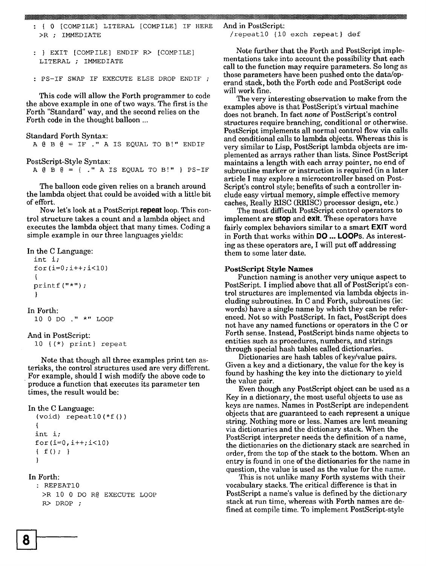- { 0 [COMPILE] LITERAL [COMPILE] IF HERE And in PostScript: >R ; IMMEDIATE //repeat10 {10 exch repeat} def
- } EXIT [COMPILE] ENDIF R> [COMPILE] LITERAL ; IMMEDIATE
- PS-IF SWAP IF EXECUTE ELSE DROP ENDIF ;

This code will allow the Forth programmer to code the above example in one of two ways. The first is the Forth "Standard" way, and the second relies on the Forth code in the thought balloon ...

Standard Forth Syntax:

A  $\theta$  B  $\theta$  = IF ." A IS EQUAL TO B!" ENDIF

PostScript-Style Syntax:

A  $\theta$  B  $\theta$  = { ." A IS EQUAL TO B!" } PS-IF

The balloon code given relies on a branch around the lambda object that could be avoided with a little bit of effort.

Now let's look at a PostScript **repeat** loop. This control structure takes a count and a lambda object and executes the lambda object that many times. Coding a simple example in our three languages yields:

In the C Language:

```
int i; 
for(i=0; i++; i<10)
{ 
printf("*"); 
}
```
In Forth:

```
10 0 DO " *" LOOP
```
#### And in PostScript:

```
10 { (*) print} repeat
```
Note that though all three examples print ten asterisks, the control structures used are very different. For example, should I wish modify the above code to produce a function that executes its parameter ten times, the result would be:

#### In the C Language:

```
(void) repeat10(*f())
{ 
int i; 
for(i=0, i++); i<10)
\{f(); \}}
```
#### In Forth:

```
: REPEAT10
 >R 10 0 DO R@ EXECUTE LOOP 
 R> DROP ;
```
Note further that the Forth and PostScript implementations take into account the possibility that each call to the function may require parameters. So long as those parameters have been pushed onto the data/operand stack, both the Forth code and PostScript code will work fine.

The very interesting observation to make from the examples above is that PostScript's virtual machine does not branch. In fact *none* of PostScript's control structures require branching, conditional or otherwise. PostScript implements all normal control flow via calls and conditional calls to lambda objects. Whereas this is very similar to Lisp, PostScript lambda objects are implemented as arrays rather than lists. Since PostScript maintains a length with each array pointer, no end of subroutine marker or instruction is required (in a later article I may explore a microcontroller based on Post-Script's control style; benefits of such a controller include easy virtual memory, simple effective memory caches, Really RISC (RRISC) processor design, etc.)

The most difficult PostScript control operators to implement are **stop** and **exit.** These operators have fairly complex behaviors similar to a smart **EXIT** word in Forth that works within **DO** ... **LOOPs.** As interesting as these operators are, I will put off addressing them to some later date.

#### **PostScript Style Names**

Function naming is another very unique aspect to PostScript. I implied above that all of PostScript's control structures are implemented via lambda objects including subroutines. In C and Forth, subroutines (ie: words) have a single name by which they can be referenced. Not so with PostScript. In fact, PostScript does not have any named functions or operators in the C or Forth sense. Instead, PostScript binds name objects to entities such as procedures, numbers, and strings through special hash tables called dictionaries.

Dictionaries are hash tables of key/value pairs. Given a key and a dictionary, the value for the key is found by hashing the key into the dictionary to yield the value pair.

Even though any PostScript object can be used as a Key in a dictionary, the most useful objects to use as keys are names. Names in PostScript are independent objects that are guaranteed to each represent a unique string. Nothing more or less. Names are lent meaning via dictionaries and the dictionary stack. When the PostScript interpreter needs the definition of a name, the dictionaries on the dictionary stack are searched in order, from the top of the stack to the bottom. When an entry is found in one of the dictionaries for the name in question, the value is used as the value for the name.

This is not unlike many Forth systems with their vocabulary stacks. The critical difference is that in PostScript a name's value is defined by the dictionary stack at run time, whereas with Forth names are defined at compile time. To implement PostScript-style